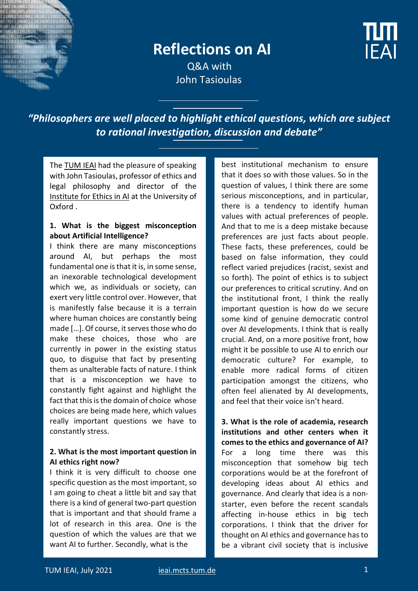

# **Reflections on AI**

**IFAI** 

 Q&A with John Tasioulas

*"Philosophers are well placed to highlight ethical questions, which are subject to rational investigation, discussion and debate"*

The [TUM IEAI](https://ieai.mcts.tum.de/) had the pleasure of speaking with John Tasioulas, professor of ethics and legal philosophy and director of the [Institute for Ethics in AI](https://www.oxford-aiethics.ox.ac.uk/) at the University of Oxford .

#### **1. What is the biggest misconception about Artificial Intelligence?**

I think there are many misconceptions around AI, but perhaps the most fundamental one is that it is, in some sense, an inexorable technological development which we, as individuals or society, can exert very little control over. However, that is manifestly false because it is a terrain where human choices are constantly being made […]. Of course, it serves those who do make these choices, those who are currently in power in the existing status quo, to disguise that fact by presenting them as unalterable facts of nature. I think that is a misconception we have to constantly fight against and highlight the fact that this is the domain of choice whose choices are being made here, which values really important questions we have to constantly stress.

### **2. What is the most important question in AI ethics right now?**

I think it is very difficult to choose one specific question as the most important, so I am going to cheat a little bit and say that there is a kind of general two-part question that is important and that should frame a lot of research in this area. One is the question of which the values are that we want AI to further. Secondly, what is the

best institutional mechanism to ensure that it does so with those values. So in the question of values, I think there are some serious misconceptions, and in particular, there is a tendency to identify human values with actual preferences of people. And that to me is a deep mistake because preferences are just facts about people. These facts, these preferences, could be based on false information, they could reflect varied prejudices (racist, sexist and so forth). The point of ethics is to subject our preferences to critical scrutiny. And on the institutional front, I think the really important question is how do we secure some kind of genuine democratic control over AI developments. I think that is really crucial. And, on a more positive front, how might it be possible to use AI to enrich our democratic culture? For example, to enable more radical forms of citizen participation amongst the citizens, who often feel alienated by AI developments, and feel that their voice isn't heard.

**3. What is the role of academia, research institutions and other centers when it comes to the ethics and governance of AI?** For a long time there was this misconception that somehow big tech corporations would be at the forefront of developing ideas about AI ethics and governance. And clearly that idea is a nonstarter, even before the recent scandals affecting in-house ethics in big tech corporations. I think that the driver for thought on AI ethics and governance has to be a vibrant civil society that is inclusive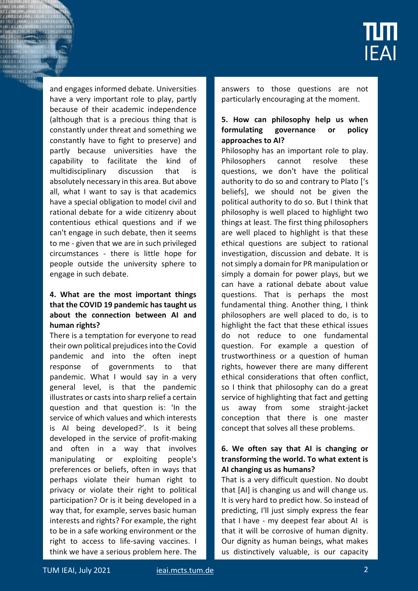

and engages informed debate. Universities have a very important role to play, partly because of their academic independence (although that is a precious thing that is constantly under threat and something we constantly have to fight to preserve) and partly because universities have the capability to facilitate the kind of multidisciplinary discussion that is absolutely necessary in this area. But above all, what I want to say is that academics have a special obligation to model civil and rational debate for a wide citizenry about contentious ethical questions and if we can't engage in such debate, then it seems to me - given that we are in such privileged circumstances - there is little hope for people outside the university sphere to engage in such debate.

### **4. What are the most important things that the COVID 19 pandemic has taught us about the connection between AI and human rights?**

There is a temptation for everyone to read their own political prejudices into the Covid pandemic and into the often inept response of governments to that pandemic. What I would say in a very general level, is that the pandemic illustrates or casts into sharp relief a certain question and that question is: 'In the service of which values and which interests is AI being developed?'. Is it being developed in the service of profit-making and often in a way that involves manipulating or exploiting people's preferences or beliefs, often in ways that perhaps violate their human right to privacy or violate their right to political participation? Or is it being developed in a way that, for example, serves basic human interests and rights? For example, the right to be in a safe working environment or the right to access to life-saving vaccines. I think we have a serious problem here. The

answers to those questions are not particularly encouraging at the moment.

## **5. How can philosophy help us when formulating governance or policy approaches to AI?**

Philosophy has an important role to play. Philosophers cannot resolve these questions, we don't have the political authority to do so and contrary to Plato ['s beliefs], we should not be given the political authority to do so. But I think that philosophy is well placed to highlight two things at least. The first thing philosophers are well placed to highlight is that these ethical questions are subject to rational investigation, discussion and debate. It is not simply a domain for PR manipulation or simply a domain for power plays, but we can have a rational debate about value questions. That is perhaps the most fundamental thing. Another thing, I think philosophers are well placed to do, is to highlight the fact that these ethical issues do not reduce to one fundamental question. For example a question of trustworthiness or a question of human rights, however there are many different ethical considerations that often conflict, so I think that philosophy can do a great service of highlighting that fact and getting us away from some straight-jacket conception that there is one master concept that solves all these problems.

#### **6. We often say that AI is changing or transforming the world. To what extent is AI changing us as humans?**

That is a very difficult question. No doubt that [AI] is changing us and will change us. It is very hard to predict how. So instead of predicting, I'll just simply express the fear that I have - my deepest fear about AI is that it will be corrosive of human dignity. Our dignity as human beings, what makes us distinctively valuable, is our capacity